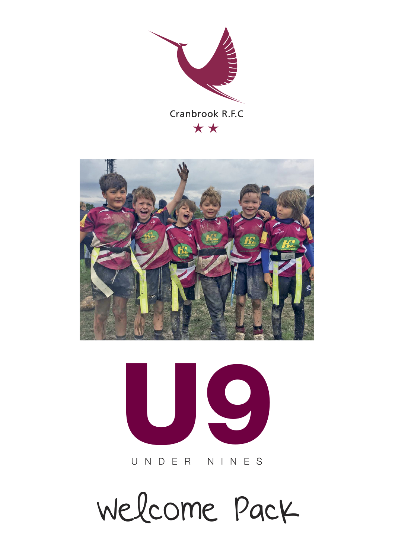





UNDER NINES

Welcome Pack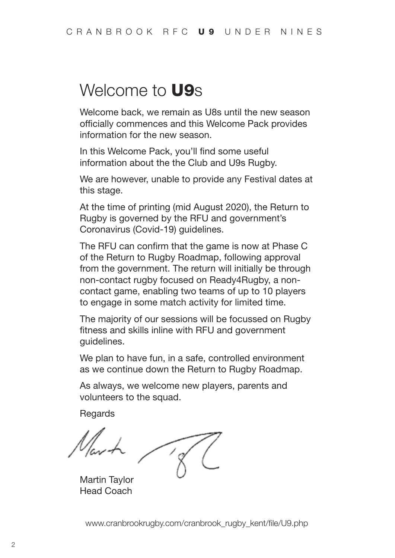### Welcome to **U9**s

Welcome back, we remain as U8s until the new season officially commences and this Welcome Pack provides information for the new season.

In this Welcome Pack, you'll find some useful information about the the Club and U9s Rugby.

We are however, unable to provide any Festival dates at this stage.

At the time of printing (mid August 2020), the Return to Rugby is governed by the RFU and government's Coronavirus (Covid-19) guidelines.

The RFU can confirm that the game is now at Phase C of the Return to Rugby Roadmap, following approval from the government. The return will initially be through non-contact rugby focused on Ready4Rugby, a noncontact game, enabling two teams of up to 10 players to engage in some match activity for limited time.

The majority of our sessions will be focussed on Rugby fitness and skills inline with RFU and government guidelines.

We plan to have fun, in a safe, controlled environment as we continue down the Return to Rugby Roadmap.

As always, we welcome new players, parents and volunteers to the squad.

Regards

Martin Taylor Head Coach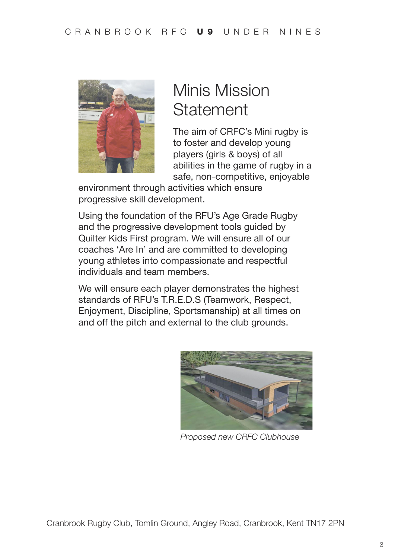

## Minis Mission **Statement**

The aim of CRFC's Mini rugby is to foster and develop young players (girls & boys) of all abilities in the game of rugby in a safe, non-competitive, enjoyable

environment through activities which ensure progressive skill development.

Using the foundation of the RFU's Age Grade Rugby and the progressive development tools guided by Quilter Kids First program. We will ensure all of our coaches 'Are In' and are committed to developing young athletes into compassionate and respectful individuals and team members.

We will ensure each player demonstrates the highest standards of RFU's T.R.E.D.S (Teamwork, Respect, Enjoyment, Discipline, Sportsmanship) at all times on and off the pitch and external to the club grounds.



*Proposed new CRFC Clubhouse*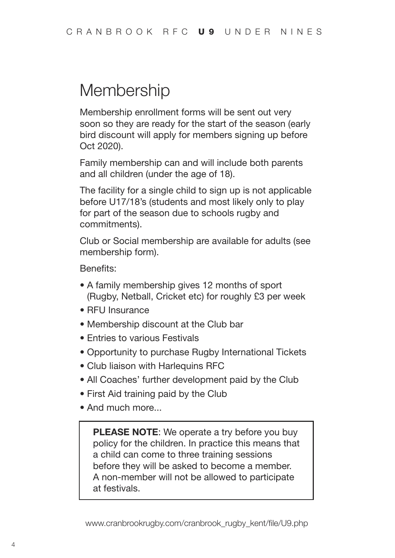### **Membership**

Membership enrollment forms will be sent out very soon so they are ready for the start of the season (early bird discount will apply for members signing up before Oct 2020).

Family membership can and will include both parents and all children (under the age of 18).

The facility for a single child to sign up is not applicable before U17/18's (students and most likely only to play for part of the season due to schools rugby and commitments).

Club or Social membership are available for adults (see membership form).

Benefits:

- A family membership gives 12 months of sport (Rugby, Netball, Cricket etc) for roughly £3 per week
- RFU Insurance
- Membership discount at the Club bar
- Entries to various Festivals
- Opportunity to purchase Rugby International Tickets
- Club liaison with Harlequins RFC
- All Coaches' further development paid by the Club
- First Aid training paid by the Club
- And much more...

**PLEASE NOTE:** We operate a try before you buy policy for the children. In practice this means that a child can come to three training sessions before they will be asked to become a member. A non-member will not be allowed to participate at festivals.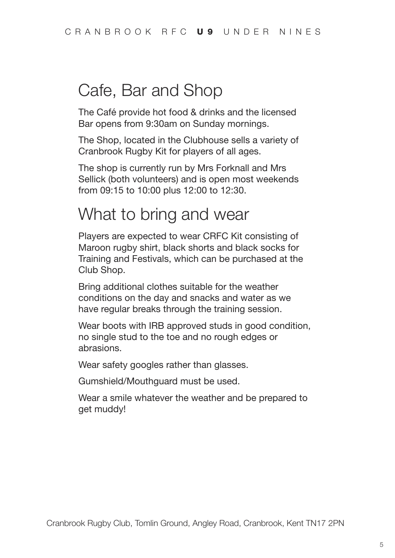## Cafe, Bar and Shop

The Café provide hot food & drinks and the licensed Bar opens from 9:30am on Sunday mornings.

The Shop, located in the Clubhouse sells a variety of Cranbrook Rugby Kit for players of all ages.

The shop is currently run by Mrs Forknall and Mrs Sellick (both volunteers) and is open most weekends from 09:15 to 10:00 plus 12:00 to 12:30.

### What to bring and wear

Players are expected to wear CRFC Kit consisting of Maroon rugby shirt, black shorts and black socks for Training and Festivals, which can be purchased at the Club Shop.

Bring additional clothes suitable for the weather conditions on the day and snacks and water as we have regular breaks through the training session.

Wear boots with IRB approved studs in good condition, no single stud to the toe and no rough edges or abrasions.

Wear safety googles rather than glasses.

Gumshield/Mouthguard must be used.

Wear a smile whatever the weather and be prepared to get muddy!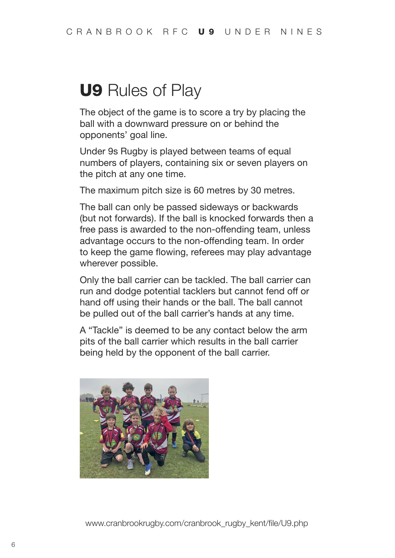## **U9** Rules of Play

The object of the game is to score a try by placing the ball with a downward pressure on or behind the opponents' goal line.

Under 9s Rugby is played between teams of equal numbers of players, containing six or seven players on the pitch at any one time.

The maximum pitch size is 60 metres by 30 metres.

The ball can only be passed sideways or backwards (but not forwards). If the ball is knocked forwards then a free pass is awarded to the non-offending team, unless advantage occurs to the non-offending team. In order to keep the game flowing, referees may play advantage wherever possible.

Only the ball carrier can be tackled. The ball carrier can run and dodge potential tacklers but cannot fend off or hand off using their hands or the ball. The ball cannot be pulled out of the ball carrier's hands at any time.

A "Tackle" is deemed to be any contact below the arm pits of the ball carrier which results in the ball carrier being held by the opponent of the ball carrier.

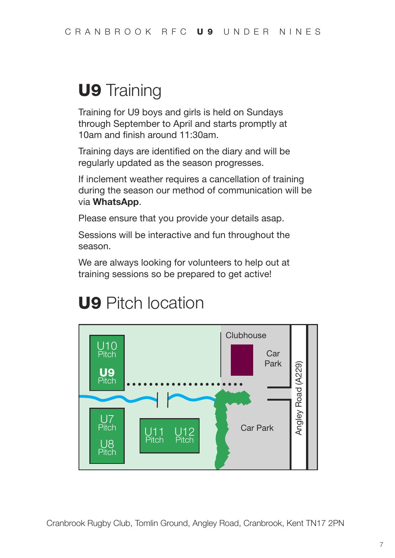## **U9** Training

Training for U9 boys and girls is held on Sundays through September to April and starts promptly at 10am and finish around 11:30am.

Training days are identified on the diary and will be regularly updated as the season progresses.

If inclement weather requires a cancellation of training during the season our method of communication will be via **WhatsApp**.

Please ensure that you provide your details asap.

Sessions will be interactive and fun throughout the season.

We are always looking for volunteers to help out at training sessions so be prepared to get active!

## **U9** Pitch location



Cranbrook Rugby Club, Tomlin Ground, Angley Road, Cranbrook, Kent TN17 2PN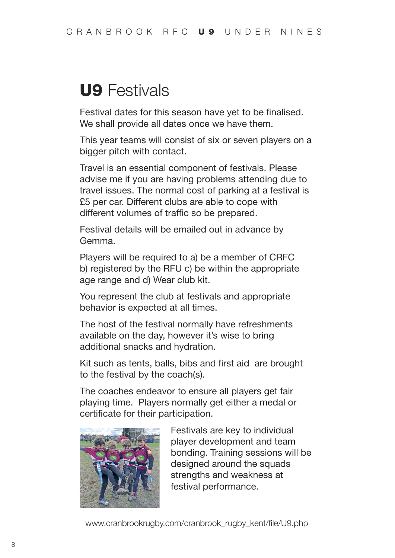## **U9** Festivals

Festival dates for this season have yet to be finalised. We shall provide all dates once we have them.

This year teams will consist of six or seven players on a bigger pitch with contact.

Travel is an essential component of festivals. Please advise me if you are having problems attending due to travel issues. The normal cost of parking at a festival is £5 per car. Different clubs are able to cope with different volumes of traffic so be prepared.

Festival details will be emailed out in advance by Gemma.

Players will be required to a) be a member of CRFC b) registered by the RFU c) be within the appropriate age range and d) Wear club kit.

You represent the club at festivals and appropriate behavior is expected at all times.

The host of the festival normally have refreshments available on the day, however it's wise to bring additional snacks and hydration.

Kit such as tents, balls, bibs and first aid are brought to the festival by the coach(s).

The coaches endeavor to ensure all players get fair playing time. Players normally get either a medal or certificate for their participation.



Festivals are key to individual player development and team bonding. Training sessions will be designed around the squads strengths and weakness at festival performance.

www.cranbrookrugby.com/cranbrook\_rugby\_kent/file/U9.php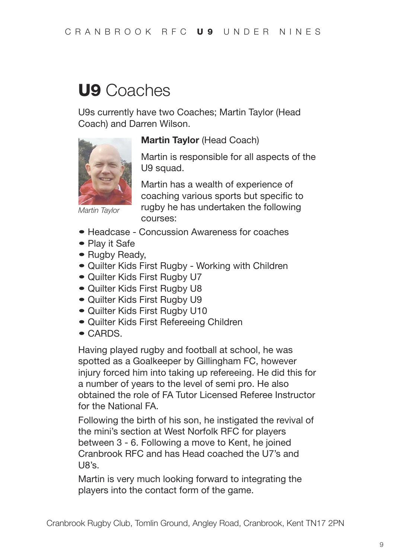## **U9** Coaches

U9s currently have two Coaches; Martin Taylor (Head Coach) and Darren Wilson.



*Martin Taylor*

#### **Martin Taylor** (Head Coach)

Martin is responsible for all aspects of the U<sub>9</sub> squad.

Martin has a wealth of experience of coaching various sports but specific to rugby he has undertaken the following courses:

- Headcase Concussion Awareness for coaches
- Play it Safe
- Rugby Ready,
- Quilter Kids First Rugby Working with Children
- Quilter Kids First Rugby U7
- Quilter Kids First Rugby U8
- Quilter Kids First Rugby U9
- Quilter Kids First Rugby U10
- Quilter Kids First Refereeing Children
- CARDS.

Having played rugby and football at school, he was spotted as a Goalkeeper by Gillingham FC, however injury forced him into taking up refereeing. He did this for a number of years to the level of semi pro. He also obtained the role of FA Tutor Licensed Referee Instructor for the National FA.

Following the birth of his son, he instigated the revival of the mini's section at West Norfolk RFC for players between 3 - 6. Following a move to Kent, he joined Cranbrook RFC and has Head coached the U7's and  $18<sup>o</sup>$ 

Martin is very much looking forward to integrating the players into the contact form of the game.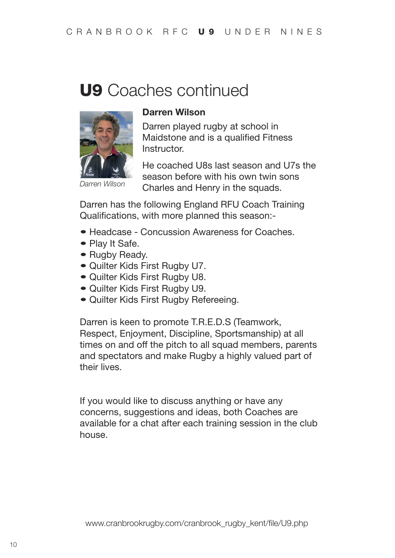## **U9** Coaches continued



#### **Darren Wilson**

Darren played rugby at school in Maidstone and is a qualified Fitness **Instructor** 

*Darren Wilson*

He coached U8s last season and U7s the season before with his own twin sons Charles and Henry in the squads.

Darren has the following England RFU Coach Training Qualifications, with more planned this season:-

- Headcase Concussion Awareness for Coaches
- Play It Safe.
- Rugby Ready.
- Quilter Kids First Rugby U7.
- Quilter Kids First Rugby U8.
- Quilter Kids First Rugby U9.
- Quilter Kids First Rugby Refereeing.

Darren is keen to promote T.R.E.D.S (Teamwork, Respect, Enjoyment, Discipline, Sportsmanship) at all times on and off the pitch to all squad members, parents and spectators and make Rugby a highly valued part of their lives.

If you would like to discuss anything or have any concerns, suggestions and ideas, both Coaches are available for a chat after each training session in the club house.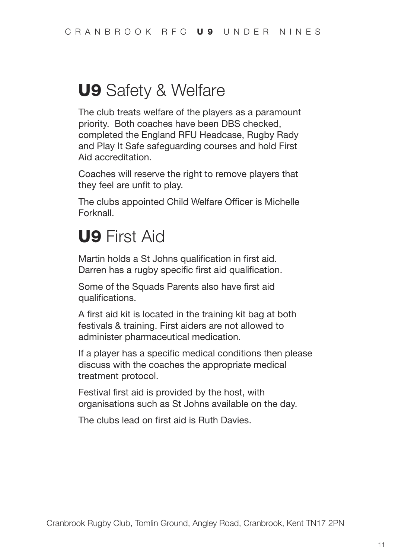## **U9** Safety & Welfare

The club treats welfare of the players as a paramount priority. Both coaches have been DBS checked, completed the England RFU Headcase, Rugby Rady and Play It Safe safeguarding courses and hold First Aid accreditation.

Coaches will reserve the right to remove players that they feel are unfit to play.

The clubs appointed Child Welfare Officer is Michelle Forknall.

## **U9** First Aid

Martin holds a St Johns qualification in first aid. Darren has a rugby specific first aid qualification.

Some of the Squads Parents also have first aid qualifications.

A first aid kit is located in the training kit bag at both festivals & training. First aiders are not allowed to administer pharmaceutical medication.

If a player has a specific medical conditions then please discuss with the coaches the appropriate medical treatment protocol.

Festival first aid is provided by the host, with organisations such as St Johns available on the day.

The clubs lead on first aid is Ruth Davies.